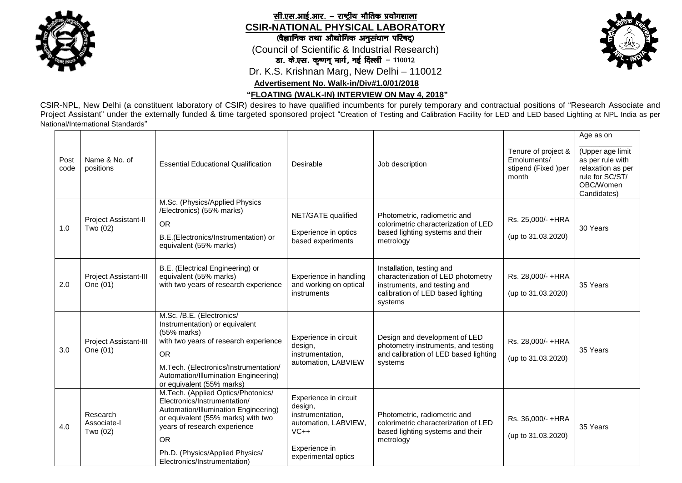

**CSIR-NATIONAL PHYSICAL LABORATORY** सी.एस.आई.आर. - राष्ट्रीय भौतिक प्रयोगशाला

## (वैज्ञानिक तथा औद्योगिक अनुसंधान परिषद्)

(Council of Scientific & Industrial Research)

डा. के.एस. कृष्णन् मार्ग, नई दिल्ली - 110012

Dr. K.S. Krishnan Marg, New Delhi – 110012

 **Advertisement No. Walk-in/Div#1.0/01/2018**

**"FLOATING (WALK-IN) INTERVIEW ON May 4, 2018"**

CSIR-NPL, New Delhi (a constituent laboratory of CSIR) desires to have qualified incumbents for purely temporary and contractual positions of "Research Associate and Project Assistant" under the externally funded & time targeted sponsored project "Creation of Testing and Calibration Facility for LED and LED based Lighting at NPL India as per National/International Standards"

| Post<br>code | Name & No. of<br>positions          | <b>Essential Educational Qualification</b>                                                                                                                                                                                                                       | Desirable                                                                                                                      | Job description                                                                                                                                 | Tenure of project &<br>Emoluments/<br>stipend (Fixed )per<br>month | Age as on<br>(Upper age limit<br>as per rule with<br>relaxation as per<br>rule for SC/ST/<br>OBC/Women<br>Candidates) |
|--------------|-------------------------------------|------------------------------------------------------------------------------------------------------------------------------------------------------------------------------------------------------------------------------------------------------------------|--------------------------------------------------------------------------------------------------------------------------------|-------------------------------------------------------------------------------------------------------------------------------------------------|--------------------------------------------------------------------|-----------------------------------------------------------------------------------------------------------------------|
| 1.0          | Project Assistant-II<br>Two (02)    | M.Sc. (Physics/Applied Physics<br>/Electronics) (55% marks)<br><b>OR</b><br>B.E.(Electronics/Instrumentation) or<br>equivalent (55% marks)                                                                                                                       | NET/GATE qualified<br>Experience in optics<br>based experiments                                                                | Photometric, radiometric and<br>colorimetric characterization of LED<br>based lighting systems and their<br>metrology                           | Rs. 25,000/- +HRA<br>(up to 31.03.2020)                            | 30 Years                                                                                                              |
| 2.0          | Project Assistant-III<br>One (01)   | B.E. (Electrical Engineering) or<br>equivalent (55% marks)<br>with two years of research experience                                                                                                                                                              | Experience in handling<br>and working on optical<br>instruments                                                                | Installation, testing and<br>characterization of LED photometry<br>instruments, and testing and<br>calibration of LED based lighting<br>systems | Rs. 28,000/-+HRA<br>(up to 31.03.2020)                             | 35 Years                                                                                                              |
| 3.0          | Project Assistant-III<br>One (01)   | M.Sc. /B.E. (Electronics/<br>Instrumentation) or equivalent<br>(55% marks)<br>with two years of research experience<br><b>OR</b><br>M.Tech. (Electronics/Instrumentation/<br>Automation/Illumination Engineering)<br>or equivalent (55% marks)                   | Experience in circuit<br>design,<br>instrumentation,<br>automation, LABVIEW                                                    | Design and development of LED<br>photometry instruments, and testing<br>and calibration of LED based lighting<br>systems                        | Rs. 28,000/- +HRA<br>(up to 31.03.2020)                            | 35 Years                                                                                                              |
| 4.0          | Research<br>Associate-I<br>Two (02) | M.Tech. (Applied Optics/Photonics/<br>Electronics/Instrumentation/<br>Automation/Illumination Engineering)<br>or equivalent (55% marks) with two<br>years of research experience<br><b>OR</b><br>Ph.D. (Physics/Applied Physics/<br>Electronics/Instrumentation) | Experience in circuit<br>design,<br>instrumentation,<br>automation, LABVIEW,<br>$VC++$<br>Experience in<br>experimental optics | Photometric, radiometric and<br>colorimetric characterization of LED<br>based lighting systems and their<br>metrology                           | Rs. 36,000/-+HRA<br>(up to 31.03.2020)                             | 35 Years                                                                                                              |

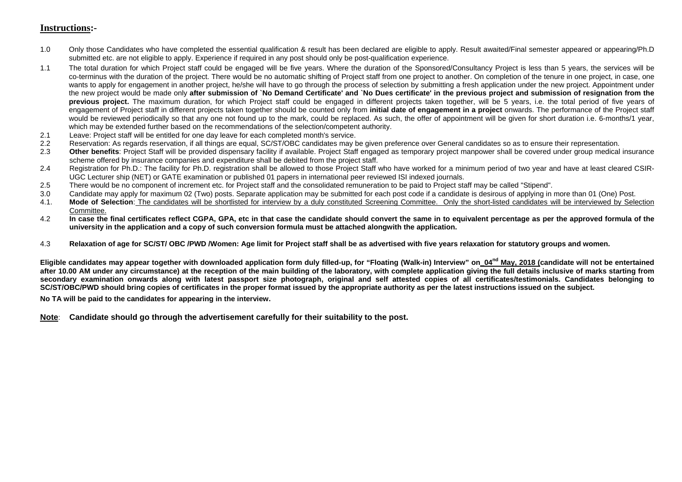## **Instructions:-**

- 1.0 Only those Candidates who have completed the essential qualification & result has been declared are eligible to apply. Result awaited/Final semester appeared or appearing/Ph.D submitted etc. are not eligible to apply. Experience if required in any post should only be post-qualification experience.
- 1.1 The total duration for which Project staff could be engaged will be five years. Where the duration of the Sponsored/Consultancy Project is less than 5 years, the services will be co-terminus with the duration of the project. There would be no automatic shifting of Project staff from one project to another. On completion of the tenure in one project, in case, one wants to apply for engagement in another project, he/she will have to go through the process of selection by submitting a fresh application under the new project. Appointment under the new project would be made only **after submission of `No Demand Certificate' and `No Dues certificate' in the previous project and submission of resignation from the previous project.** The maximum duration, for which Project staff could be engaged in different projects taken together, will be 5 years, i.e. the total period of five years of engagement of Project staff in different projects taken together should be counted only from **initial date of engagement in a project** onwards. The performance of the Project staff would be reviewed periodically so that any one not found up to the mark, could be replaced. As such, the offer of appointment will be given for short duration i.e. 6-months/1 year, which may be extended further based on the recommendations of the selection/competent authority.
- 2.1 Leave: Project staff will be entitled for one day leave for each completed month's service.
- 2.2 Reservation: As regards reservation, if all things are equal, SC/ST/OBC candidates may be given preference over General candidates so as to ensure their representation.
- 2.3 Other benefits: Project Staff will be provided dispensary facility if available. Project Staff engaged as temporary project manpower shall be covered under group medical insurance scheme offered by insurance companies and expenditure shall be debited from the project staff.
- 2.4 Registration for Ph.D.: The facility for Ph.D. registration shall be allowed to those Project Staff who have worked for a minimum period of two year and have at least cleared CSIR-UGC Lecturer ship (NET) or GATE examination or published 01 papers in international peer reviewed ISI indexed journals.
- 2.5 There would be no component of increment etc. for Project staff and the consolidated remuneration to be paid to Project staff may be called "Stipend".
- 3.0 Candidate may apply for maximum 02 (Two) posts. Separate application may be submitted for each post code if a candidate is desirous of applying in more than 01 (One) Post.
- 4.1. **Mode of Selection**: The candidates will be shortlisted for interview by a duly constituted Screening Committee. Only the short-listed candidates will be interviewed by Selection Committee.
- 4.2 **In case the final certificates reflect CGPA, GPA, etc in that case the candidate should convert the same in to equivalent percentage as per the approved formula of the university in the application and a copy of such conversion formula must be attached alongwith the application.**
- 4.3 **Relaxation of age for SC/ST/ OBC /PWD /Women: Age limit for Project staff shall be as advertised with five years relaxation for statutory groups and women.**

**Eligible candidates may appear together with downloaded application form duly filled-up, for "Floating (Walk-in) Interview" on\_04nd May, 2018 (candidate will not be entertained after 10.00 AM under any circumstance) at the reception of the main building of the laboratory, with complete application giving the full details inclusive of marks starting from secondary examination onwards along with latest passport size photograph, original and self attested copies of all certificates/testimonials. Candidates belonging to SC/ST/OBC/PWD should bring copies of certificates in the proper format issued by the appropriate authority as per the latest instructions issued on the subject.** 

**No TA will be paid to the candidates for appearing in the interview.** 

**Note**: **Candidate should go through the advertisement carefully for their suitability to the post.**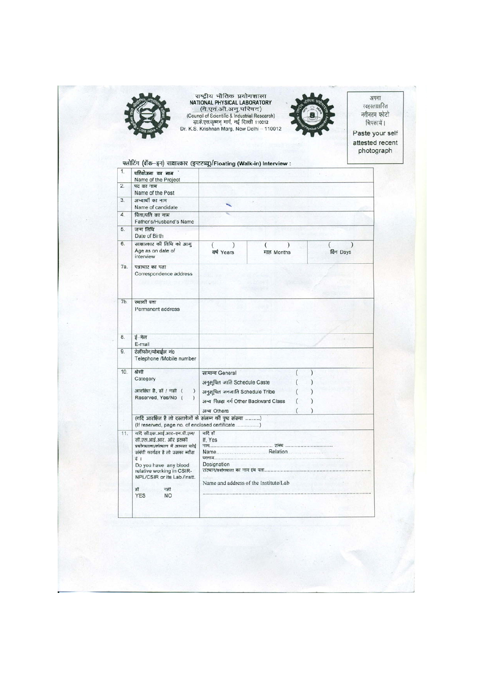

राष्ट्रीय भौतिक प्रयोगशाला<br>NATIONAL PHYSICAL LABORATORY<br>(टी.एवं.ओ.अनु.परिषद)<br>(Council of Scientific & Industrial Research)<br>द्धाके.एस.कृष्णन् मार्ग, नई दिल्ली 110012<br>Dr. K.S. Krishnan Marg, New Delhi – 110012



अपना स्वहस्ताक्षरित नवीनतम फोटो चिपकायें । Paste your self attested recent

photograph

| परियोजना का नाम                                                                                                                    |                                                                                               |                                                                                                                                                                              |                                                                                                               |          |  |  |  |
|------------------------------------------------------------------------------------------------------------------------------------|-----------------------------------------------------------------------------------------------|------------------------------------------------------------------------------------------------------------------------------------------------------------------------------|---------------------------------------------------------------------------------------------------------------|----------|--|--|--|
|                                                                                                                                    |                                                                                               |                                                                                                                                                                              |                                                                                                               |          |  |  |  |
| Name of the Post                                                                                                                   |                                                                                               |                                                                                                                                                                              |                                                                                                               |          |  |  |  |
| अभ्यार्थी का नाम<br>Name of candidate                                                                                              |                                                                                               |                                                                                                                                                                              |                                                                                                               |          |  |  |  |
| पिता/पति का नाम<br>Father's/Husband's Name                                                                                         |                                                                                               |                                                                                                                                                                              |                                                                                                               |          |  |  |  |
| जन्म तिथि<br>Date of Birth                                                                                                         |                                                                                               |                                                                                                                                                                              |                                                                                                               |          |  |  |  |
| साक्षात्कार की तिथि को आयु<br>Age as on date of<br>interview                                                                       | (<br>वर्ष Years                                                                               |                                                                                                                                                                              |                                                                                                               | दिन Days |  |  |  |
| पत्राचार का पता<br>Correspondence address                                                                                          |                                                                                               |                                                                                                                                                                              |                                                                                                               |          |  |  |  |
| स्थायी पता<br>Permanent address                                                                                                    |                                                                                               |                                                                                                                                                                              |                                                                                                               |          |  |  |  |
| ई-मेल                                                                                                                              |                                                                                               |                                                                                                                                                                              |                                                                                                               |          |  |  |  |
| टेलीफोन/मोबाईल नं0<br>Telephone /Mobile number                                                                                     |                                                                                               |                                                                                                                                                                              |                                                                                                               |          |  |  |  |
| श्रेणी                                                                                                                             |                                                                                               |                                                                                                                                                                              | ١                                                                                                             |          |  |  |  |
| Category                                                                                                                           |                                                                                               |                                                                                                                                                                              |                                                                                                               |          |  |  |  |
|                                                                                                                                    |                                                                                               |                                                                                                                                                                              |                                                                                                               |          |  |  |  |
| Reserved, Yes/No (<br>1                                                                                                            |                                                                                               |                                                                                                                                                                              |                                                                                                               |          |  |  |  |
|                                                                                                                                    |                                                                                               |                                                                                                                                                                              |                                                                                                               |          |  |  |  |
|                                                                                                                                    |                                                                                               |                                                                                                                                                                              |                                                                                                               |          |  |  |  |
| (If reserved, page no. of enclosed certificate )                                                                                   |                                                                                               |                                                                                                                                                                              |                                                                                                               |          |  |  |  |
| यदि सी.एस.आई.आर-एन.पी.एल/<br>सी.एस.आई.आर. और इसकी<br>प्रयोगधाला/संस्थान में आपका कोई<br>संबंधी कार्यरत है तो उसका ब्यौरा<br>र्दे । | यदि हाँ<br>If. Yes                                                                            |                                                                                                                                                                              |                                                                                                               |          |  |  |  |
| relative working in CSIR-<br>NPL/CSIR or its Lab./Instt.                                                                           |                                                                                               |                                                                                                                                                                              |                                                                                                               |          |  |  |  |
| নৰী<br>ਲੀ<br><b>YES</b><br><b>NO</b>                                                                                               |                                                                                               |                                                                                                                                                                              |                                                                                                               |          |  |  |  |
|                                                                                                                                    | Name of the Project<br>पद का नाम<br>E-mail<br>आरक्षित है, हॉ / नही (<br>Do you have any blood | सामान्य General<br>अनुसूचित जाति Schedule Caste<br>अनुसूचित जनजाति Schedule Tribe<br>अन्य Others<br>(यदि आरक्षित है तो दस्तावेजों के संलग्न की पृष्ठ संख्या )<br>Designation | माह Months<br>अन्य पिछड़ा वर्ग Other Backward Class<br>Name Relation<br>Name and address of the Institute/Lab |          |  |  |  |